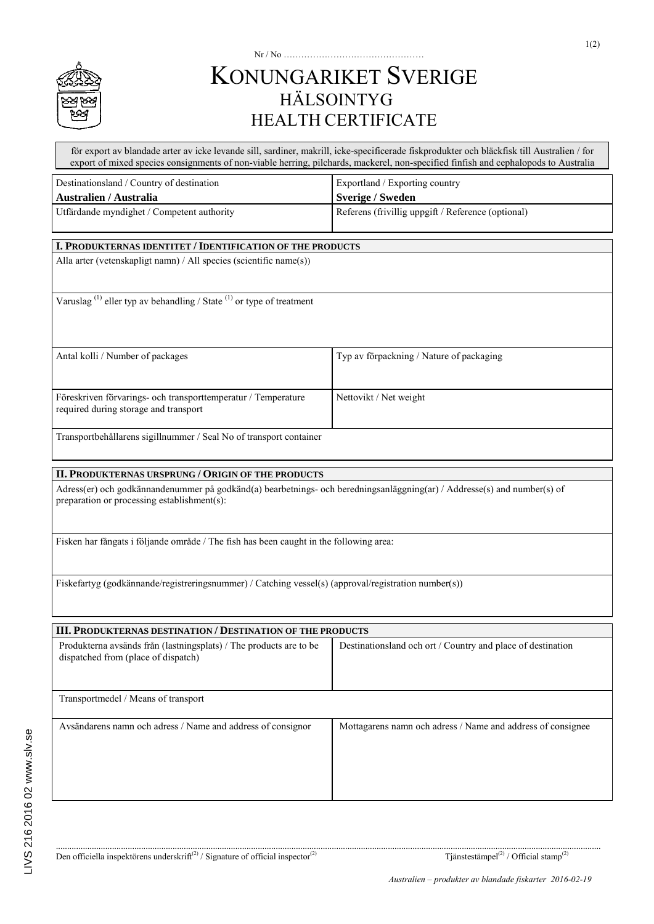

## Nr / No ………………………………………… KONUNGARIKET SVERIGE HÄLSOINTYG HEALTH CERTIFICATE

för export av blandade arter av icke levande sill, sardiner, makrill, icke-specificerade fiskprodukter och bläckfisk till Australien / for export of mixed species consignments of non-viable herring, pilchards, mackerel, non-specified finfish and cephalopods to Australia

| Destinationsland / Country of destination                                                                                                                               | Exportland / Exporting country                              |
|-------------------------------------------------------------------------------------------------------------------------------------------------------------------------|-------------------------------------------------------------|
| <b>Australien / Australia</b>                                                                                                                                           | <b>Sverige / Sweden</b>                                     |
| Utfärdande myndighet / Competent authority                                                                                                                              | Referens (frivillig uppgift / Reference (optional)          |
| I. PRODUKTERNAS IDENTITET / IDENTIFICATION OF THE PRODUCTS                                                                                                              |                                                             |
| Alla arter (vetenskapligt namn) / All species (scientific name(s))                                                                                                      |                                                             |
| Varuslag <sup>(1)</sup> eller typ av behandling / State <sup>(1)</sup> or type of treatment                                                                             |                                                             |
| Antal kolli / Number of packages                                                                                                                                        | Typ av förpackning / Nature of packaging                    |
| Föreskriven förvarings- och transporttemperatur / Temperature<br>required during storage and transport                                                                  | Nettovikt / Net weight                                      |
| Transportbehållarens sigillnummer / Seal No of transport container                                                                                                      |                                                             |
| II. PRODUKTERNAS URSPRUNG / ORIGIN OF THE PRODUCTS                                                                                                                      |                                                             |
| Adress(er) och godkännandenummer på godkänd(a) bearbetnings- och beredningsanläggning(ar) / Addresse(s) and number(s) of<br>preparation or processing establishment(s): |                                                             |
| Fisken har fångats i följande område / The fish has been caught in the following area:                                                                                  |                                                             |
| Fiskefartyg (godkännande/registreringsnummer) / Catching vessel(s) (approval/registration number(s))                                                                    |                                                             |
| III. PRODUKTERNAS DESTINATION / DESTINATION OF THE PRODUCTS                                                                                                             |                                                             |
| Produkterna avsänds från (lastningsplats) / The products are to be<br>dispatched from (place of dispatch)                                                               | Destinationsland och ort / Country and place of destination |
| Transportmedel / Means of transport                                                                                                                                     |                                                             |
| Avsändarens namn och adress / Name and address of consignor                                                                                                             | Mottagarens namn och adress / Name and address of consignee |
|                                                                                                                                                                         |                                                             |